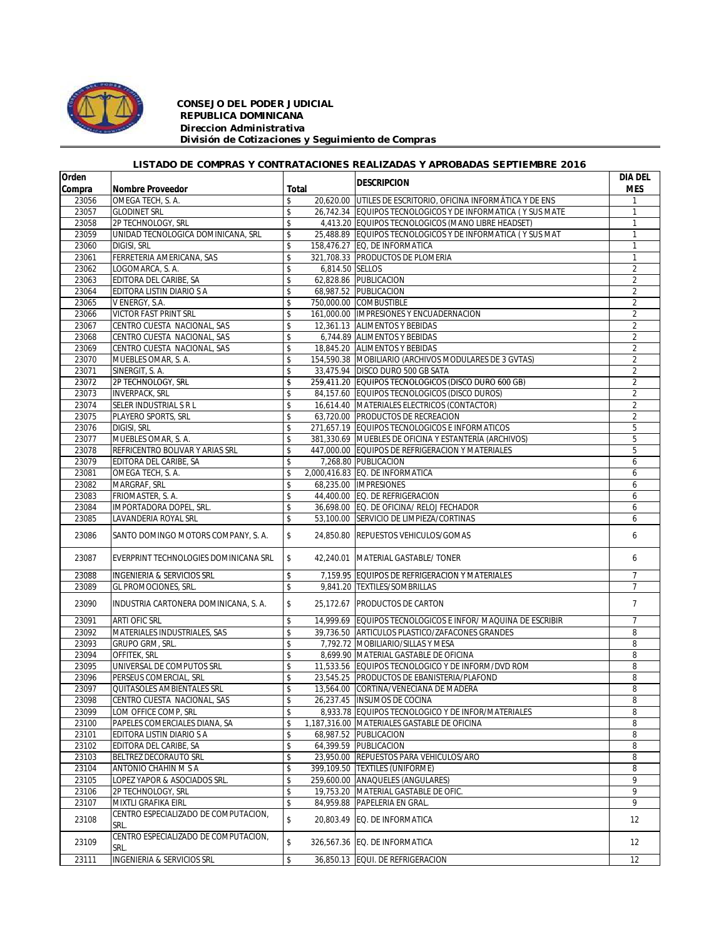

## *CONSEJO DEL PODER JUDICIAL REPUBLICA DOMINICANA Direccion Administrativa División de Cotizaciones y Seguimiento de Compras*

## *LISTADO DE COMPRAS Y CONTRATACIONES REALIZADAS Y APROBADAS SEPTIEMBRE 2016*

| Orden  |                                              |       |                 | <b>DESCRIPCION</b>                                           | DIA DEL        |
|--------|----------------------------------------------|-------|-----------------|--------------------------------------------------------------|----------------|
| Compra | Nombre Proveedor                             | Total |                 |                                                              | <b>MES</b>     |
| 23056  | OMEGA TECH, S. A.                            | \$    |                 | 20,620.00 UTILES DE ESCRITORIO, OFICINA INFORMÁTICA Y DE ENS | 1              |
| 23057  | <b>GLODINET SRL</b>                          | \$    |                 | 26,742.34 EQUIPOS TECNOLOGICOS Y DE INFORMATICA (Y SUS MATE  | $\mathbf{1}$   |
| 23058  | 2P TECHNOLOGY, SRL                           | \$    |                 | 4,413.20 EQUIPOS TECNOLOGICOS (MANO LIBRE HEADSET)           | $\mathbf{1}$   |
| 23059  | UNIDAD TECNOLOGICA DOMINICANA, SRL           | \$    |                 | 25,488.89 EQUIPOS TECNOLOGICOS Y DE INFORMATICA (Y SUS MAT   | $\mathbf{1}$   |
| 23060  | <b>DIGISI, SRL</b>                           | \$    |                 | 158,476.27 EQ, DE INFORMATICA                                | $\mathbf{1}$   |
| 23061  | FERRETERIA AMERICANA, SAS                    | \$    |                 | 321,708.33 PRODUCTOS DE PLOMERIA                             | $\mathbf{1}$   |
| 23062  | LOGOMARCA, S. A.                             | \$    | 6,814.50 SELLOS |                                                              | $\overline{2}$ |
| 23063  | EDITORA DEL CARIBE, SA                       | \$    |                 | 62,828.86 PUBLICACION                                        | 2              |
| 23064  | EDITORA LISTIN DIARIO S A                    | \$    |                 | 68,987.52 PUBLICACION                                        | $\overline{2}$ |
| 23065  | V ENERGY, S.A.                               | \$    |                 | 750,000.00 COMBUSTIBLE                                       | $\overline{2}$ |
| 23066  | <b>VICTOR FAST PRINT SRL</b>                 | \$    |                 | 161,000.00 IMPRESIONES Y ENCUADERNACION                      | $\overline{2}$ |
| 23067  | CENTRO CUESTA NACIONAL, SAS                  | \$    |                 | 12,361.13 ALIMENTOS Y BEBIDAS                                | $\overline{2}$ |
| 23068  | CENTRO CUESTA NACIONAL, SAS                  | \$    |                 | 6,744.89 ALIMENTOS Y BEBIDAS                                 | $\overline{2}$ |
| 23069  | CENTRO CUESTA NACIONAL, SAS                  | \$    |                 | 18,845.20 ALIMENTOS Y BEBIDAS                                | $\overline{2}$ |
| 23070  | MUEBLES OMAR, S. A.                          | \$    |                 | 154,590.38 MOBILIARIO (ARCHIVOS MODULARES DE 3 GVTAS)        | $\overline{2}$ |
| 23071  | SINERGIT, S. A.                              | \$    |                 | 33,475.94 DISCO DURO 500 GB SATA                             | $\overline{2}$ |
| 23072  | 2P TECHNOLOGY, SRL                           | \$    |                 | 259,411.20 EQUIPOS TECNOLOGICOS (DISCO DURO 600 GB)          | $\overline{2}$ |
| 23073  | <b>INVERPACK, SRL</b>                        | \$    |                 | 84,157.60 EQUIPOS TECNOLOGICOS (DISCO DUROS)                 | 2              |
| 23074  | SELER INDUSTRIAL S R L                       | \$    |                 | 16,614.40 MATERIALES ELECTRICOS (CONTACTOR)                  | $\overline{2}$ |
| 23075  | PLAYERO SPORTS, SRL                          | \$    |                 | 63,720.00 PRODUCTOS DE RECREACION                            | $\overline{2}$ |
| 23076  | <b>DIGISI, SRL</b>                           | \$    |                 | 271,657.19 EQUIPOS TECNOLOGICOS E INFORMATICOS               | 5              |
| 23077  | MUEBLES OMAR, S. A.                          | \$    |                 | 381,330.69 MUEBLES DE OFICINA Y ESTANTERÍA (ARCHIVOS)        | 5              |
| 23078  | REFRICENTRO BOLIVAR Y ARIAS SRL              | \$    |                 | 447,000.00 EQUIPOS DE REFRIGERACION Y MATERIALES             | 5              |
| 23079  | EDITORA DEL CARIBE, SA                       | \$    |                 | 7,268.80 PUBLICACION                                         | 6              |
| 23081  | OMEGA TECH, S. A.                            | \$    |                 | 2,000,416.83 EQ. DE INFORMATICA                              | 6              |
| 23082  | MARGRAF, SRL                                 | \$    |                 | 68,235.00 IMPRESIONES                                        | 6              |
| 23083  | FRIOMASTER, S. A.                            | \$    |                 | 44,400.00 EQ. DE REFRIGERACION                               | 6              |
| 23084  | IMPORTADORA DOPEL, SRL.                      | \$    |                 | 36,698.00 EQ. DE OFICINA/ RELOJ FECHADOR                     | 6              |
| 23085  | LAVANDERIA ROYAL SRL                         | \$    |                 | 53,100.00 SERVICIO DE LIMPIEZA/CORTINAS                      | 6              |
|        |                                              |       |                 |                                                              |                |
| 23086  | SANTO DOMINGO MOTORS COMPANY, S. A.          | \$    |                 | 24,850.80 REPUESTOS VEHICULOS/GOMAS                          | 6              |
| 23087  | EVERPRINT TECHNOLOGIES DOMINICANA SRL        | \$    |                 | 42,240.01 MATERIAL GASTABLE/ TONER                           | 6              |
| 23088  | INGENIERIA & SERVICIOS SRL                   | \$    |                 | 7,159.95 EQUIPOS DE REFRIGERACION Y MATERIALES               | $\overline{7}$ |
| 23089  | GL PROMOCIONES, SRL.                         | \$    |                 | 9,841.20 TEXTILES/SOMBRILLAS                                 | $\overline{7}$ |
|        |                                              |       |                 |                                                              |                |
| 23090  | INDUSTRIA CARTONERA DOMINICANA, S. A.        | \$    |                 | 25,172.67 PRODUCTOS DE CARTON                                | $\overline{7}$ |
| 23091  | <b>ARTI OFIC SRL</b>                         | \$    |                 | 14,999.69 EQUIPOS TECNOLOGICOS E INFOR/ MAQUINA DE ESCRIBIR  | $\overline{7}$ |
| 23092  | MATERIALES INDUSTRIALES, SAS                 | \$    |                 | 39.736.50 ARTICULOS PLASTICO/ZAFACONES GRANDES               | 8              |
| 23093  | GRUPO GRM, SRL.                              | \$    |                 | 7,792.72 MOBILIARIO/SILLAS Y MESA                            | 8              |
| 23094  | OFFITEK, SRL                                 | \$    |                 | 8,699.90 MATERIAL GASTABLE DE OFICINA                        | 8              |
| 23095  | UNIVERSAL DE COMPUTOS SRL                    | \$    |                 | 11,533.56 EQUIPOS TECNOLOGICO Y DE INFORM/DVD ROM            | 8              |
| 23096  | PERSEUS COMERCIAL, SRL                       | \$    |                 | 23,545.25 PRODUCTOS DE EBANISTERIA/PLAFOND                   | 8              |
| 23097  | QUITASOLES AMBIENTALES SRL                   | \$    |                 | 13,564.00 CORTINA/VENECIANA DE MADERA                        | 8              |
| 23098  | CENTRO CUESTA NACIONAL, SAS                  | \$    |                 | 26,237.45 INSUMOS DE COCINA                                  | 8              |
| 23099  | LOM OFFICE COMP, SRL                         | \$    |                 | 8,933.78 EQUIPOS TECNOLOGICO Y DE INFOR/MATERIALES           | 8              |
| 23100  | PAPELES COMERCIALES DIANA, SA                | \$    |                 | 1,187,316.00 MATERIALES GASTABLE DE OFICINA                  | 8              |
| 23101  | EDITORA LISTIN DIARIO S A                    | \$    |                 | 68,987.52 PUBLICACION                                        | 8              |
| 23102  | EDITORA DEL CARIBE, SA                       | \$    |                 | 64,399.59 PUBLICACION                                        | 8              |
| 23103  | BELTREZ DECORAUTO SRL                        | \$    |                 | 23,950.00 REPUESTOS PARA VEHICULOS/ARO                       | 8              |
| 23104  | ANTONIO CHAHIN M S A                         | \$    |                 | 399,109.50 TEXTILES (UNIFORME)                               | 8              |
| 23105  | LOPEZ YAPOR & ASOCIADOS SRL.                 | \$    |                 | 259,600.00 ANAQUELES (ANGULARES)                             | 9              |
| 23106  | 2P TECHNOLOGY, SRL                           | \$    |                 | 19,753.20 MATERIAL GASTABLE DE OFIC.                         | 9              |
| 23107  | MIXTLI GRAFIKA EIRL                          | \$    |                 | 84,959.88 PAPELERIA EN GRAL.                                 | 9              |
| 23108  | CENTRO ESPECIALIZADO DE COMPUTACION,         | \$    | 20.803.49       | EQ. DE INFORMATICA                                           | 12             |
|        | SRL.                                         |       |                 |                                                              |                |
| 23109  | CENTRO ESPECIALIZADO DE COMPUTACION,<br>SRL. | \$    |                 | 326,567.36 EQ. DE INFORMATICA                                | 12             |
| 23111  | <b>INGENIERIA &amp; SERVICIOS SRL</b>        | \$    |                 | 36,850.13 EQUI. DE REFRIGERACION                             | 12             |
|        |                                              |       |                 |                                                              |                |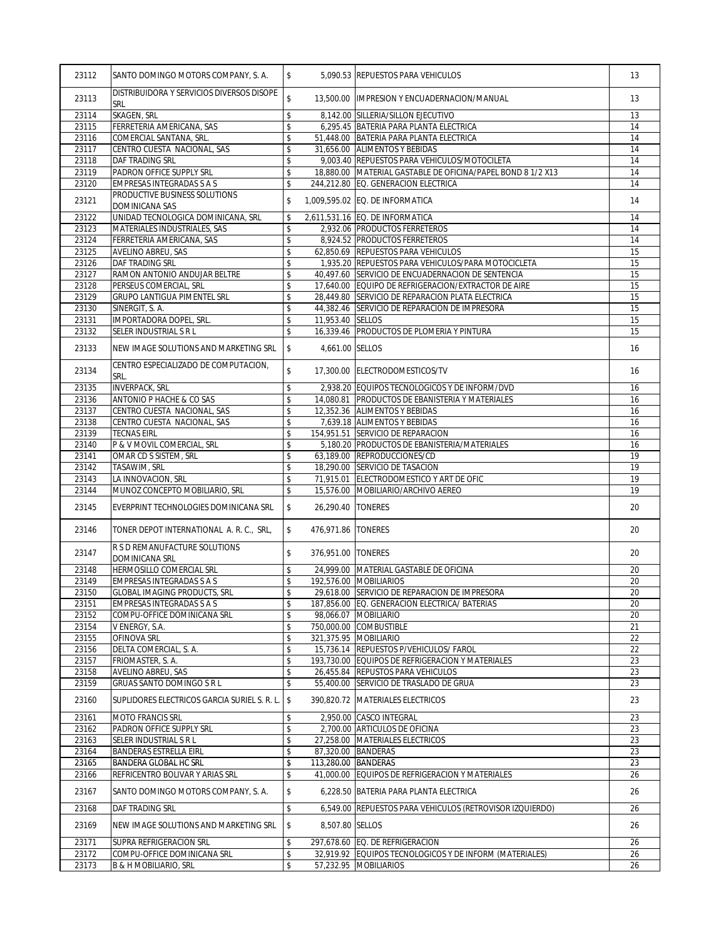| 23112          | SANTO DOMINGO MOTORS COMPANY, S. A.                                                 | \$                             |                      | 5,090.53 REPUESTOS PARA VEHICULOS                                                                       | 13       |
|----------------|-------------------------------------------------------------------------------------|--------------------------------|----------------------|---------------------------------------------------------------------------------------------------------|----------|
| 23113          | DISTRIBUIDORA Y SERVICIOS DIVERSOS DISOPE<br>SRL                                    | \$                             |                      | 13,500.00  IMPRESION Y ENCUADERNACION/MANUAL                                                            | 13       |
| 23114          | SKAGEN, SRL                                                                         | \$                             |                      | 8,142.00 SILLERIA/SILLON EJECUTIVO                                                                      | 13       |
| 23115          | FERRETERIA AMERICANA, SAS                                                           | \$                             |                      | 6,295.45 BATERIA PARA PLANTA ELECTRICA                                                                  | 14       |
| 23116          | COMERCIAL SANTANA, SRL.                                                             | \$                             |                      | 51,448.00 BATERIA PARA PLANTA ELECTRICA                                                                 | 14       |
| 23117          | CENTRO CUESTA NACIONAL, SAS                                                         | \$                             |                      | 31,656.00 ALIMENTOS Y BEBIDAS                                                                           | 14       |
| 23118          | DAF TRADING SRL                                                                     | \$                             |                      | 9,003.40 REPUESTOS PARA VEHICULOS/MOTOCILETA                                                            | 14       |
| 23119          | PADRON OFFICE SUPPLY SRL                                                            | \$                             |                      | 18,880.00 MATERIAL GASTABLE DE OFICINA/PAPEL BOND 8 1/2 X13                                             | 14       |
| 23120          | <b>EMPRESAS INTEGRADAS S A S</b>                                                    | \$                             |                      | 244,212.80 EQ. GENERACION ELECTRICA                                                                     | 14       |
| 23121          | PRODUCTIVE BUSINESS SOLUTIONS<br>DOMINICANA SAS                                     | \$                             |                      | 1,009,595.02 EQ. DE INFORMATICA                                                                         | 14       |
| 23122          | UNIDAD TECNOLOGICA DOMINICANA, SRL                                                  | \$                             |                      | 2,611,531.16 EQ. DE INFORMATICA                                                                         | 14       |
| 23123          | MATERIALES INDUSTRIALES, SAS                                                        | \$                             |                      | 2,932.06 PRODUCTOS FERRETEROS                                                                           | 14       |
| 23124          | FERRETERIA AMERICANA, SAS                                                           | \$                             |                      | 8,924.52 PRODUCTOS FERRETEROS                                                                           | 14       |
| 23125          | AVELINO ABREU, SAS                                                                  | \$                             |                      | 62,850.69 REPUESTOS PARA VEHICULOS                                                                      | 15       |
| 23126<br>23127 | DAF TRADING SRL<br>RAMON ANTONIO ANDUJAR BELTRE                                     | \$<br>\$                       |                      | 1,935.20 REPUESTOS PARA VEHICULOS/PARA MOTOCICLETA<br>40,497.60 SERVICIO DE ENCUADERNACION DE SENTENCIA | 15<br>15 |
| 23128          | PERSEUS COMERCIAL, SRL                                                              |                                |                      | 17,640.00 EQUIPO DE REFRIGERACION/EXTRACTOR DE AIRE                                                     | 15       |
| 23129          | <b>GRUPO LANTIGUA PIMENTEL SRL</b>                                                  | \$<br>$\overline{\mathcal{S}}$ |                      | 28,449.80 SERVICIO DE REPARACION PLATA ELECTRICA                                                        | 15       |
| 23130          | SINERGIT, S. A.                                                                     | \$                             |                      | 44,382.46 SERVICIO DE REPARACION DE IMPRESORA                                                           | 15       |
| 23131          | IMPORTADORA DOPEL, SRL.                                                             | \$                             | 11,953.40 SELLOS     |                                                                                                         | 15       |
| 23132          | SELER INDUSTRIAL S R L                                                              | \$                             |                      | 16,339.46 PRODUCTOS DE PLOMERIA Y PINTURA                                                               | 15       |
|                |                                                                                     |                                |                      |                                                                                                         |          |
| 23133          | NEW IMAGE SOLUTIONS AND MARKETING SRL<br>CENTRO ESPECIALIZADO DE COMPUTACION.       | $\sqrt{2}$                     | 4,661.00 SELLOS      |                                                                                                         | 16       |
| 23134          | SRL.                                                                                | \$                             |                      | 17,300.00 ELECTRODOMESTICOS/TV                                                                          | 16       |
| 23135          | <b>INVERPACK, SRL</b>                                                               | \$                             |                      | 2,938.20 EQUIPOS TECNOLOGICOS Y DE INFORM/DVD                                                           | 16       |
| 23136          | ANTONIO P HACHE & CO SAS                                                            | \$                             |                      | 14,080.81 PRODUCTOS DE EBANISTERIA Y MATERIALES                                                         | 16       |
| 23137          | CENTRO CUESTA NACIONAL, SAS                                                         | \$                             |                      | 12,352.36 ALIMENTOS Y BEBIDAS                                                                           | 16       |
| 23138          | CENTRO CUESTA NACIONAL, SAS                                                         | \$                             |                      | 7,639.18 ALIMENTOS Y BEBIDAS                                                                            | 16       |
| 23139          | <b>TECNAS EIRL</b>                                                                  | \$                             |                      | 154,951.51 SERVICIO DE REPARACION                                                                       | 16       |
| 23140          | P & V MOVIL COMERCIAL, SRL                                                          | \$                             |                      | 5,180.20 PRODUCTOS DE EBANISTERIA/MATERIALES                                                            | 16       |
| 23141          | OMAR CD S SISTEM, SRL                                                               | \$                             |                      | 63,189.00 REPRODUCCIONES/CD                                                                             | 19       |
| 23142          | TASAWIM, SRL                                                                        | \$                             |                      | 18,290.00 SERVICIO DE TASACION                                                                          | 19       |
| 23143          | LA INNOVACION, SRL                                                                  | \$                             |                      | 71,915.01 ELECTRODOMESTICO Y ART DE OFIC                                                                | 19       |
| 23144          | MUNOZ CONCEPTO MOBILIARIO, SRL                                                      | \$                             |                      | 15,576.00 MOBILIARIO/ARCHIVO AEREO                                                                      | 19       |
| 23145          | EVERPRINT TECHNOLOGIES DOMINICANA SRL                                               | \$                             | 26,290.40   TONERES  |                                                                                                         | 20       |
| 23146          | TONER DEPOT INTERNATIONAL A. R. C., SRL,                                            | \$                             | 476,971.86   TONERES |                                                                                                         | 20       |
| 23147          | R S D REMANUFACTURE SOLUTIONS<br><b>DOMINICANA SRL</b>                              | \$                             | 376,951.00 TONERES   |                                                                                                         | 20       |
| 23148          | HERMOSILLO COMERCIAL SRL                                                            | \$                             |                      | 24,999.00 MATERIAL GASTABLE DE OFICINA                                                                  | 20       |
| 23149          | <b>EMPRESAS INTEGRADAS S A S</b>                                                    | \$                             |                      | 192.576.00 MOBILIARIOS                                                                                  | 20       |
| 23150          | <b>GLOBAL IMAGING PRODUCTS, SRL</b>                                                 | \$                             |                      | 29,618.00 SERVICIO DE REPARACION DE IMPRESORA                                                           | 20       |
| 23151          | <b>EMPRESAS INTEGRADAS S A S</b>                                                    | \$                             |                      | 187,856.00 EQ. GENERACION ELECTRICA/ BATERIAS                                                           | 20       |
| 23152          | COMPU-OFFICE DOMINICANA SRL                                                         | \$                             |                      | 98,066.07 MOBILIARIO                                                                                    | 20       |
| 23154          | V ENERGY, S.A.                                                                      | \$                             |                      | 750,000.00 COMBUSTIBLE                                                                                  | 21       |
| 23155          | OFINOVA SRL                                                                         | \$                             |                      | 321,375.95 MOBILIARIO                                                                                   | 22       |
| 23156          | DELTA COMERCIAL, S. A.                                                              | \$                             |                      | 15,736.14 REPUESTOS P/VEHICULOS/ FAROL                                                                  | 22       |
| 23157          | FRIOMASTER, S. A.                                                                   | \$                             |                      | 193,730.00 EQUIPOS DE REFRIGERACION Y MATERIALES                                                        | 23       |
| 23158          | <b>AVELINO ABREU, SAS</b>                                                           | \$                             |                      | 26,455.84 REPUSTOS PARA VEHICULOS                                                                       | 23       |
| 23159<br>23160 | <b>GRUAS SANTO DOMINGO S R L</b><br>SUPLIDORES ELECTRICOS GARCIA SURIEL S. R. L. \$ | \$                             | 55,400.00            | SERVICIO DE TRASLADO DE GRUA<br>390.820.72 MATERIALES ELECTRICOS                                        | 23<br>23 |
| 23161          | <b>MOTO FRANCIS SRL</b>                                                             | \$                             |                      | 2,950.00 CASCO INTEGRAL                                                                                 | 23       |
| 23162          | PADRON OFFICE SUPPLY SRL                                                            | \$                             |                      | 2.700.00 ARTICULOS DE OFICINA                                                                           | 23       |
| 23163          | SELER INDUSTRIAL S R L                                                              | \$                             |                      | 27,258.00 MATERIALES ELECTRICOS                                                                         | 23       |
| 23164          | <b>BANDERAS ESTRELLA EIRL</b>                                                       | \$                             |                      | 87,320.00 BANDERAS                                                                                      | 23       |
| 23165          | <b>BANDERA GLOBAL HC SRL</b>                                                        | \$                             | 113,280.00 BANDERAS  |                                                                                                         | 23       |
| 23166          | REFRICENTRO BOLIVAR Y ARIAS SRL                                                     | \$                             |                      | 41,000.00 EQUIPOS DE REFRIGERACION Y MATERIALES                                                         | 26       |
| 23167          | SANTO DOMINGO MOTORS COMPANY, S. A.                                                 | \$                             |                      | 6,228.50 BATERIA PARA PLANTA ELECTRICA                                                                  | 26       |
| 23168          | DAF TRADING SRL                                                                     | \$                             |                      | 6,549.00 REPUESTOS PARA VEHICULOS (RETROVISOR IZQUIERDO)                                                | 26       |
| 23169          | NEW IMAGE SOLUTIONS AND MARKETING SRL                                               | \$                             | 8,507.80 SELLOS      |                                                                                                         | 26       |
| 23171          | SUPRA REFRIGERACION SRL                                                             | \$                             |                      | 297,678.60 EQ. DE REFRIGERACION                                                                         | 26       |
| 23172          | COMPU-OFFICE DOMINICANA SRL                                                         | \$                             |                      | 32,919.92 EQUIPOS TECNOLOGICOS Y DE INFORM (MATERIALES)                                                 | 26       |
| 23173          | B & H MOBILIARIO, SRL                                                               | \$                             |                      | 57,232.95 MOBILIARIOS                                                                                   | 26       |
|                |                                                                                     |                                |                      |                                                                                                         |          |